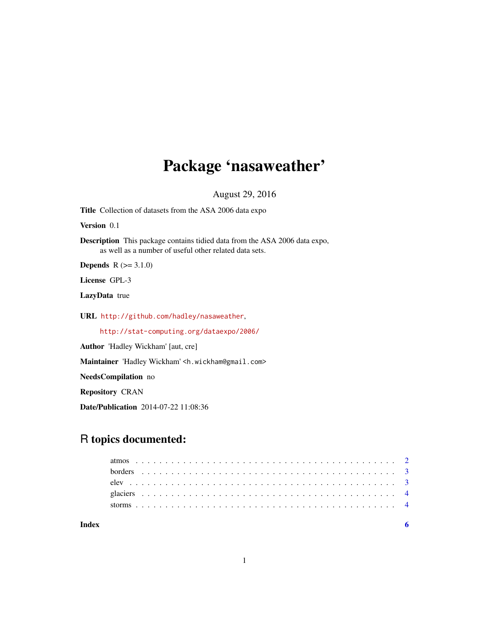## Package 'nasaweather'

August 29, 2016

Title Collection of datasets from the ASA 2006 data expo

Version 0.1

Description This package contains tidied data from the ASA 2006 data expo, as well as a number of useful other related data sets.

**Depends**  $R (= 3.1.0)$ 

License GPL-3

LazyData true

URL <http://github.com/hadley/nasaweather>,

<http://stat-computing.org/dataexpo/2006/>

Author 'Hadley Wickham' [aut, cre]

Maintainer 'Hadley Wickham' <h.wickham@gmail.com>

NeedsCompilation no

Repository CRAN

Date/Publication 2014-07-22 11:08:36

### R topics documented: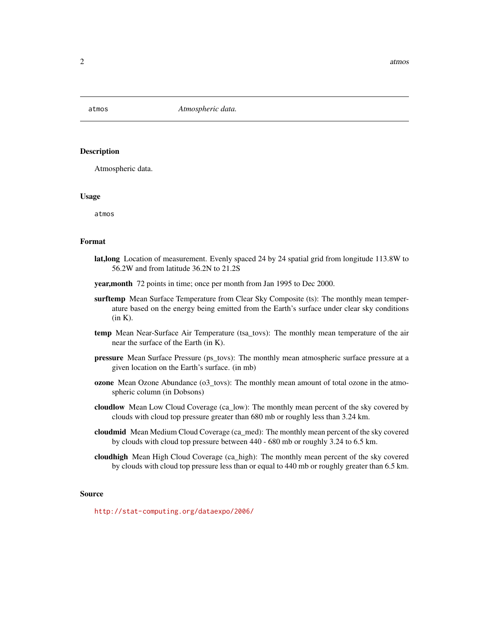<span id="page-1-0"></span>

#### **Description**

Atmospheric data.

#### Usage

atmos

#### Format

- lat,long Location of measurement. Evenly spaced 24 by 24 spatial grid from longitude 113.8W to 56.2W and from latitude 36.2N to 21.2S
- year,month 72 points in time; once per month from Jan 1995 to Dec 2000.
- surftemp Mean Surface Temperature from Clear Sky Composite (ts): The monthly mean temperature based on the energy being emitted from the Earth's surface under clear sky conditions  $(in K).$
- temp Mean Near-Surface Air Temperature (tsa\_tovs): The monthly mean temperature of the air near the surface of the Earth (in K).
- **pressure** Mean Surface Pressure (ps tovs): The monthly mean atmospheric surface pressure at a given location on the Earth's surface. (in mb)
- ozone Mean Ozone Abundance (o3\_tovs): The monthly mean amount of total ozone in the atmospheric column (in Dobsons)
- cloudlow Mean Low Cloud Coverage (ca\_low): The monthly mean percent of the sky covered by clouds with cloud top pressure greater than 680 mb or roughly less than 3.24 km.
- cloudmid Mean Medium Cloud Coverage (ca\_med): The monthly mean percent of the sky covered by clouds with cloud top pressure between 440 - 680 mb or roughly 3.24 to 6.5 km.
- cloudhigh Mean High Cloud Coverage (ca\_high): The monthly mean percent of the sky covered by clouds with cloud top pressure less than or equal to 440 mb or roughly greater than 6.5 km.

#### Source

<http://stat-computing.org/dataexpo/2006/>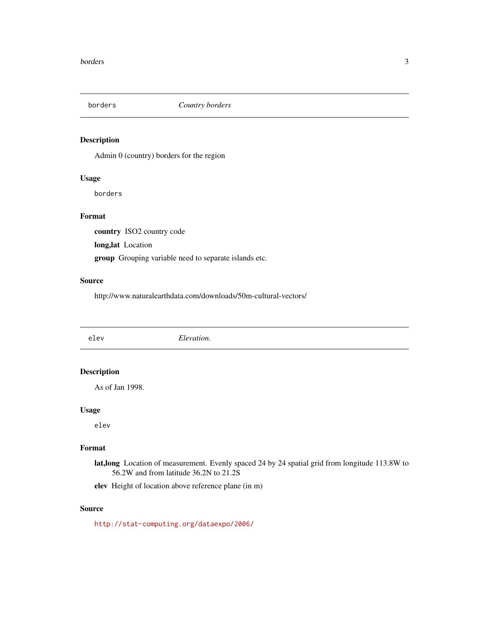<span id="page-2-0"></span>

#### Description

Admin 0 (country) borders for the region

#### Usage

borders

#### Format

country ISO2 country code

long,lat Location

group Grouping variable need to separate islands etc.

#### Source

http://www.naturalearthdata.com/downloads/50m-cultural-vectors/

elev *Elevation.*

#### Description

As of Jan 1998.

#### Usage

elev

#### Format

lat,long Location of measurement. Evenly spaced 24 by 24 spatial grid from longitude 113.8W to 56.2W and from latitude 36.2N to 21.2S

elev Height of location above reference plane (in m)

#### Source

<http://stat-computing.org/dataexpo/2006/>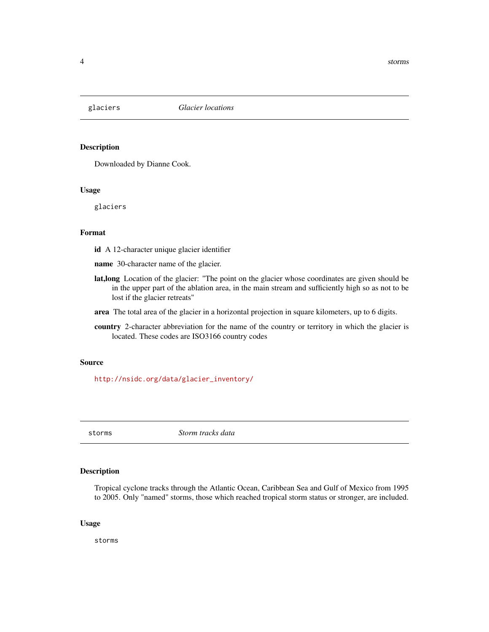<span id="page-3-0"></span>

#### Description

Downloaded by Dianne Cook.

#### Usage

glaciers

#### Format

id A 12-character unique glacier identifier

name 30-character name of the glacier.

- lat,long Location of the glacier: "The point on the glacier whose coordinates are given should be in the upper part of the ablation area, in the main stream and sufficiently high so as not to be lost if the glacier retreats"
- area The total area of the glacier in a horizontal projection in square kilometers, up to 6 digits.
- country 2-character abbreviation for the name of the country or territory in which the glacier is located. These codes are ISO3166 country codes

#### Source

[http://nsidc.org/data/glacier\\_inventory/](http://nsidc.org/data/glacier_inventory/)

storms *Storm tracks data*

#### Description

Tropical cyclone tracks through the Atlantic Ocean, Caribbean Sea and Gulf of Mexico from 1995 to 2005. Only "named" storms, those which reached tropical storm status or stronger, are included.

#### Usage

storms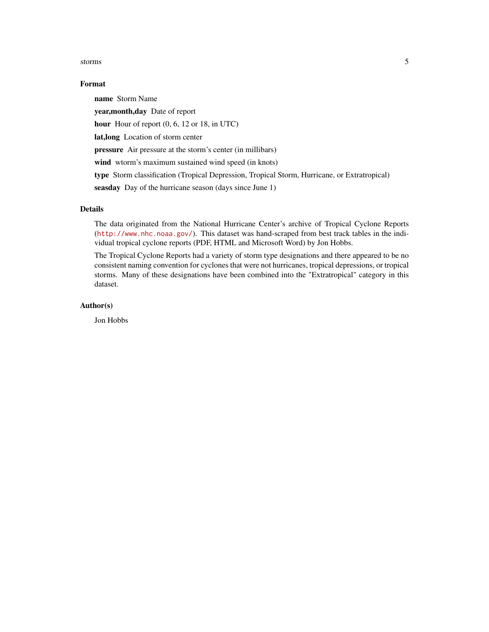#### storms 5

#### Format

name Storm Name year,month,day Date of report hour Hour of report  $(0, 6, 12 \text{ or } 18, \text{ in UTC})$ lat,long Location of storm center pressure Air pressure at the storm's center (in millibars) wind wtorm's maximum sustained wind speed (in knots) type Storm classification (Tropical Depression, Tropical Storm, Hurricane, or Extratropical) seasday Day of the hurricane season (days since June 1)

#### Details

The data originated from the National Hurricane Center's archive of Tropical Cyclone Reports (<http://www.nhc.noaa.gov/>). This dataset was hand-scraped from best track tables in the individual tropical cyclone reports (PDF, HTML and Microsoft Word) by Jon Hobbs.

The Tropical Cyclone Reports had a variety of storm type designations and there appeared to be no consistent naming convention for cyclones that were not hurricanes, tropical depressions, or tropical storms. Many of these designations have been combined into the "Extratropical" category in this dataset.

#### Author(s)

Jon Hobbs